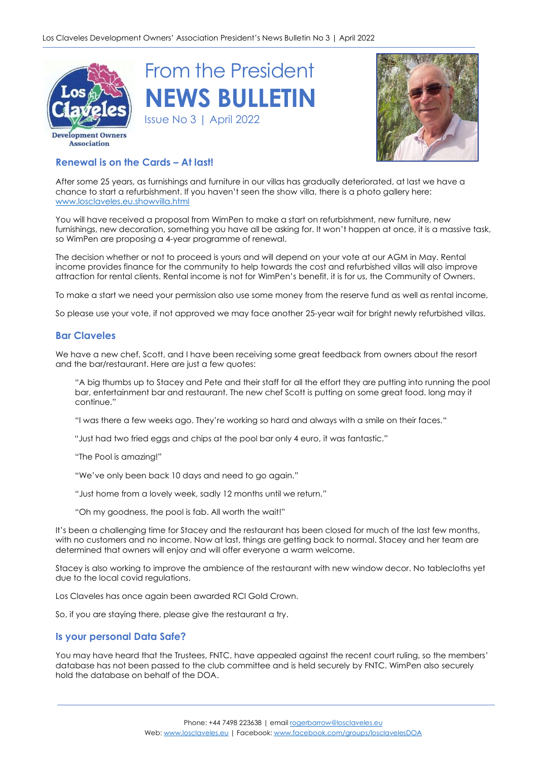





# **Renewal is on the Cards – At last!**

After some 25 years, as furnishings and furniture in our villas has gradually deteriorated, at last we have a chance to start a refurbishment. If you haven't seen the show villa, there is a photo gallery here: [www.losclaveles.eu.showvilla.html](http://www.losclaveles.eu.showvilla.html/)

You will have received a proposal from WimPen to make a start on refurbishment, new furniture, new furnishings, new decoration, something you have all be asking for. It won't happen at once, it is a massive task, so WimPen are proposing a 4-year programme of renewal.

The decision whether or not to proceed is yours and will depend on your vote at our AGM in May. Rental income provides finance for the community to help towards the cost and refurbished villas will also improve attraction for rental clients. Rental income is not for WimPen's benefit, it is for us, the Community of Owners.

To make a start we need your permission also use some money from the reserve fund as well as rental income,

So please use your vote, if not approved we may face another 25-year wait for bright newly refurbished villas.

## **Bar Claveles**

We have a new chef, Scott, and I have been receiving some great feedback from owners about the resort and the bar/restaurant. Here are just a few quotes:

"A big thumbs up to Stacey and Pete and their staff for all the effort they are putting into running the pool bar, entertainment bar and restaurant. The new chef Scott is putting on some great food. long may it continue."

"I was there a few weeks ago. They're working so hard and always with a smile on their faces."

"Just had two fried eggs and chips at the pool bar only 4 euro, it was fantastic."

"The Pool is amazing!"

"We've only been back 10 days and need to go again."

"Just home from a lovely week, sadly 12 months until we return."

"Oh my goodness, the pool is fab. All worth the wait!"

It's been a challenging time for Stacey and the restaurant has been closed for much of the last few months, with no customers and no income. Now at last, things are getting back to normal. Stacey and her team are determined that owners will enjoy and will offer everyone a warm welcome.

Stacey is also working to improve the ambience of the restaurant with new window decor. No tablecloths yet due to the local covid regulations.

Los Claveles has once again been awarded RCI Gold Crown.

So, if you are staying there, please give the restaurant a try.

## **Is your personal Data Safe?**

You may have heard that the Trustees, FNTC, have appealed against the recent court ruling, so the members' database has not been passed to the club committee and is held securely by FNTC. WimPen also securely hold the database on behalf of the DOA.